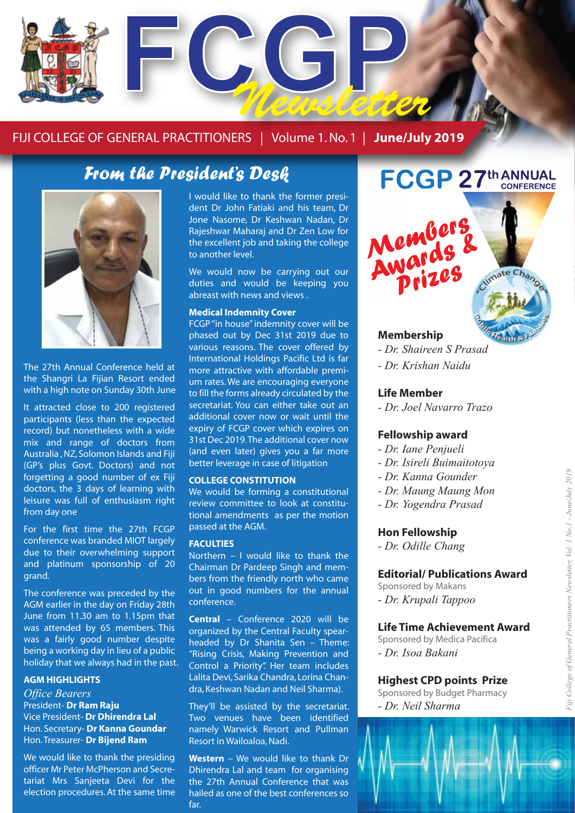

#### FIJI COLLEGE OF GENERAL PRACTITIONERS | Volume 1. No. 1 | **June/July 2019**

## *From the President's Desk*



The 27th Annual Conference held at the Shangri La Fijian Resort ended with a high note on Sunday 30th June

It attracted close to 200 registered participants (less than the expected record) but nonetheless with a wide mix and range of doctors from Australia , NZ, Solomon Islands and Fiji (GP's plus Govt. Doctors) and not forgetting a good number of ex Fiji doctors, the 3 days of learning with leisure was full of enthusiasm right from day one

For the first time the 27th FCGP conference was branded MIOT largely due to their overwhelming support and platinum sponsorship of 20 grand.

The conference was preceded by the AGM earlier in the day on Friday 28th June from 11.30 am to 1.15pm that was attended by 65 members. This was a fairly good number despite being a working day in lieu of a public holiday that we always had in the past.

#### **AGM HIGHLIGHTS**

*Office Bearers*  President- **Dr Ram Raju** Vice President- **Dr Dhirendra Lal** Hon. Secretary- **Dr Kanna Goundar** Hon. Treasurer- **Dr Bijend Ram**

We would like to thank the presiding officer Mr Peter McPherson and Secretariat Mrs Sanjeeta Devi for the election procedures. At the same time I would like to thank the former president Dr John Fatiaki and his team, Dr Jone Nasome, Dr Keshwan Nadan, Dr Rajeshwar Maharaj and Dr Zen Low for the excellent job and taking the college to another level.

We would now be carrying out our duties and would be keeping you abreast with news and views .

#### **Medical Indemnity Cover**

FCGP "in house" indemnity cover will be phased out by Dec 31st 2019 due to various reasons. The cover offered by International Holdings Pacific Ltd is far more attractive with affordable premium rates. We are encouraging everyone to fill the forms already circulated by the secretariat. You can either take out an additional cover now or wait until the expiry of FCGP cover which expires on 31st Dec 2019. The additional cover now (and even later) gives you a far more better leverage in case of litigation

#### **COLLEGE CONSTITUTION**

We would be forming a constitutional review committee to look at constitutional amendments as per the motion passed at the AGM.

#### **FACULTIES**

Northern – I would like to thank the Chairman Dr Pardeep Singh and members from the friendly north who came out in good numbers for the annual conference.

**Central** – Conference 2020 will be organized by the Central Faculty spearheaded by Dr Shanita Sen – Theme: "Rising Crisis, Making Prevention and Control a Priority". Her team includes Lalita Devi, Sarika Chandra, Lorina Chandra, Keshwan Nadan and Neil Sharma).

They'll be assisted by the secretariat. Two venues have been identified namely Warwick Resort and Pullman Resort in Wailoaloa, Nadi.

**Western** – We would like to thank Dr Dhirendra Lal and team for organising the 27th Annual Conference that was hailed as one of the best conferences so far.

# **FCGP 27th ANNUAL**

#### **Membership**

- *Dr. Shaireen S Prasad*
- *Dr. Krishan Naidu*

Members

Memords<br>Awards

#### **Life Member**

*- Dr. Joel Navarro Trazo*

#### **Fellowship award**

- *Dr. Iane Penjueli*
- *Dr. Isireli Buimaitotoya*
- *Dr. Kanna Gounder*
- *Dr. Maung Maung Mon*
- *Dr. Yogendra Prasad*

#### **Hon Fellowship**

*- Dr. Odille Chang*

#### **Editorial/ Publications Award**

Sponsored by Makans

*- Dr. Krupali Tappoo* 

#### **Life Time Achievement Award**

Sponsored by Medica Pacifica *- Dr. Isoa Bakani* 

#### **Highest CPD points Prize**

Sponsored by Budget Pharmacy *- Dr. Neil Sharma*